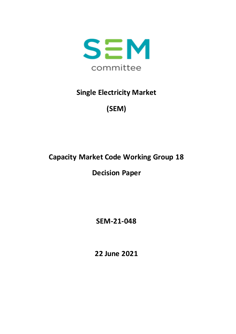

# **Single Electricity Market**

# **(SEM)**

# **Capacity Market Code Working Group 18**

# **Decision Paper**

**SEM-21-048**

**22 June 2021**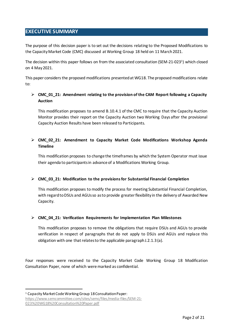# <span id="page-1-0"></span>**EXECUTIVE SUMMARY**

The purpose of this decision paper is to set out the decisions relating to the Proposed Modifications to the Capacity Market Code (CMC) discussed at Working Group 18 held on 11 March 2021.

The decision within this paper follows on from the associated consultation (SEM-21-023<sup>1</sup> ) which closed on 4 May2021.

This paper considers the proposed modifications presented at WG18. The proposed modifications relate to:

### **CMC\_01\_21: Amendment relating to the provision of the CAM Report following a Capacity Auction**

This modification proposes to amend B.10.4.1 of the CMC to require that the Capacity Auction Monitor provides their report on the Capacity Auction two Working Days after the provisional Capacity Auction Results have been released to Participants.

### **CMC\_02\_21: Amendment to Capacity Market Code Modifications Workshop Agenda Timeline**

This modification proposes to change the timeframes by which the System Operator must issue their agenda to participants in advance of a Modifications Working Group.

### **CMC\_03\_21: Modification to the provisions for Substantial Financial Completion**

This modification proposes to modify the process for meeting Substantial Financial Completion, with regard to DSUs and AGUs so as to provide greater flexibility in the delivery of Awarded New Capacity.

### **CMC\_04\_21: Verification Requirements for Implementation Plan Milestones**

This modification proposes to remove the obligations that require DSUs and AGUs to provide verification in respect of paragraphs that do not apply to DSUs and AGUs and replace this obligation with one that relates to the applicable paragraph J.2.1.3 (a).

Four responses were received to the Capacity Market Code Working Group 18 Modification Consultation Paper, none of which weremarked as confidential.

1

<sup>1</sup> Capacity Market Code Working Group 18 Consultation Paper:

https://www.semcommittee.com/sites/semc/files/media-files/SEM-21- 023%20WG18%20Consultation%20Paper.pdf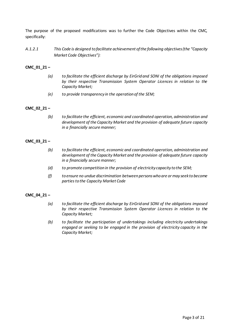The purpose of the proposed modifications was to further the Code Objectives within the CMC, specifically:

*A.1.2.1 This Code is designed to facilitate achievement of the following objectives (the "Capacity Market Code Objectives"):*

### **CMC\_01\_21 –**

- *(a) to facilitate the efficient discharge by EirGrid and SONI of the obligations imposed by their respective Transmission System Operator Licences in relation to the Capacity Market;*
- *(e) to provide transparency in the operation of the SEM;*

### **CMC\_02\_21 –**

*(b) to facilitate the efficient, economic and coordinated operation, administration and development of the Capacity Market and the provision of adequate future capacity in a financially secure manner;*

### **CMC\_03\_21 –**

- *(b) to facilitate the efficient, economic and coordinated operation, administration and development of the Capacity Market and the provision of adequate future capacity in a financially secure manner;*
- *(d) to promote competition in the provision of electricity capacity to the SEM;*
- *(f) to ensure no undue discrimination between persons who are or may seek to become parties to the Capacity Market Code*

#### **CMC\_04\_21 –**

- *(a) to facilitate the efficient discharge by EirGrid and SONI of the obligations imposed by their respective Transmission System Operator Licences in relation to the Capacity Market;*
- *(b) to facilitate the participation of undertakings including electricity undertakings engaged or seeking to be engaged in the provision of electricity capacity in the Capacity Market;*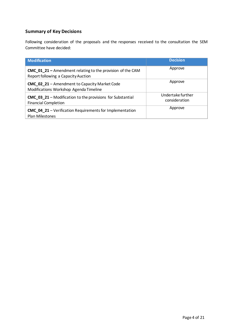## **Summary of Key Decisions**

Following consideration of the proposals and the responses received to the consultation the SEM Committee have decided:

| <b>Modification</b>                                                                                      | <b>Decision</b>                    |
|----------------------------------------------------------------------------------------------------------|------------------------------------|
| <b>CMC</b> 01 21 – Amendment relating to the provision of the CAM<br>Report following a Capacity Auction | Approve                            |
| <b>CMC_02_21</b> - Amendment to Capacity Market Code<br>Modifications Workshop Agenda Timeline           | Approve                            |
| <b>CMC_03_21</b> – Modification to the provisions for Substantial<br><b>Financial Completion</b>         | Undertake further<br>consideration |
| <b>CMC 04 21</b> - Verification Requirements for Implementation<br>Plan Milestones                       | Approve                            |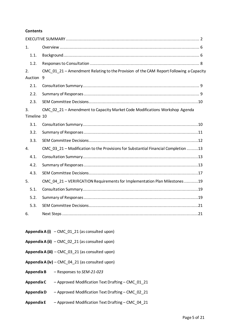#### **Contents**

| 1.                |                                                                                        |
|-------------------|----------------------------------------------------------------------------------------|
| 1.1.              |                                                                                        |
| 1.2.              |                                                                                        |
| 2.                | CMC_01_21 - Amendment Relating to the Provision of the CAM Report Following a Capacity |
| Auction 9         |                                                                                        |
| 2.1.              |                                                                                        |
| 2.2.              |                                                                                        |
| 2.3.              |                                                                                        |
| 3.<br>Timeline 10 | CMC_02_21 - Amendment to Capacity Market Code Modifications Workshop Agenda            |
| 3.1.              |                                                                                        |
| 3.2.              |                                                                                        |
| 3.3.              |                                                                                        |
| 4.                | CMC_03_21 - Modification to the Provisions for Substantial Financial Completion 13     |
| 4.1.              |                                                                                        |
| 4.2.              |                                                                                        |
| 4.3.              |                                                                                        |
| 5.                | CMC_04_21 - VERIFICATION Requirements for Implementation Plan Milestones 19            |
| 5.1.              |                                                                                        |
| 5.2.              |                                                                                        |
| 5.3.              |                                                                                        |
| 6.                |                                                                                        |

- **Appendix A (i)** CMC\_01\_21 (as consulted upon)
- **Appendix A (ii)** CMC\_02\_21 (as consulted upon)
- **Appendix A (iii)**  CMC\_03\_21 (as consulted upon)
- **Appendix A (iv)**  CMC\_04\_21 (as consulted upon)
- **Appendix B** Responses to *SEM-21-023*
- **Appendix C** Approved Modification Text Drafting CMC\_01\_21
- **Appendix D** Approved Modification Text Drafting CMC\_02\_21
- **Appendix E** Approved Modification Text Drafting CMC\_04\_21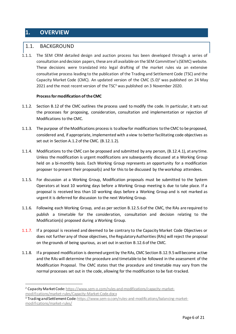# <span id="page-5-0"></span>**1. OVERVIEW**

1

### <span id="page-5-1"></span>1.1. BACKGROUND

1.1.1. The SEM CRM detailed design and auction process has been developed through a series of consultation and decision papers, these are all available on the SEM Committee's (SEMC) website. These decisions were translated into legal drafting of the market rules via an extensive consultative process leading to the publication of the Trading and Settlement Code (TSC) and the Capacity Market Code (CMC). An updated version of the CMC  $(5.0)^2$  was published on 24 May 2021 and the most recent version of the TSC<sup>3</sup> was published on 3 November 2020.

### **Process for modification of the CMC**

- 1.1.2. Section B.12 of the CMC outlines the process used to modify the code. In particular, it sets out the processes for proposing, consideration, consultation and implementation or rejection of Modifications to the CMC.
- 1.1.3. The purpose of the Modifications process is to allow for modifications to the CMC to be proposed, considered and, if appropriate, implemented with a view to better facilitating code objectives as set out in Section A.1.2 of the CMC. (B.12.1.2).
- 1.1.4. Modifications to the CMC can be proposed and submitted by any person, (B.12.4.1), at any time. Unless the modification is urgent modifications are subsequently discussed at a Working Group held on a bi-monthly basis. Each Working Group represents an opportunity for a modification proposer to present their proposal(s) and for this to be discussed by the workshop attendees.
- 1.1.5. For discussion at a Working Group, Modification proposals must be submitted to the System Operators at least 10 working days before a Working Group meeting is due to take place. If a proposal is received less than 10 working days before a Working Group and is not marked as urgent it is deferred for discussion to the next Working Group.
- 1.1.6. Following each Working Group, and as per section B.12.5.6 of the CMC, the RAs are required to publish a timetable for the consideration, consultation and decision relating to the Modification(s) proposed during a Working Group.
- 1.1.7. If a proposal is received and deemed to be contrary to the Capacity Market Code Objectives or does not further any of those objectives, the Regulatory Authorities (RAs) will reject the proposal on the grounds of being spurious, as set out in section B.12.6 of the CMC.
- 1.1.8. If a proposed modification is deemed urgent by the RAs, CMC Section B.12.9.5 will become active and the RAs will determine the procedure and timetable to be followed in the assessment of the Modification Proposal. The CMC states that the procedure and timetable may vary from the normal processes set out in the code, allowing for the modification to be fast-tracked.

<sup>2</sup> Capacity Market Code: [https://www.sem-o.com/rules-and-modifications/capacity-market](https://www.sem-o.com/rules-and-modifications/capacity-market-modifications/market-rules/Capacity-Market-Code.docx)[modifications/market-rules/Capacity-Market-Code.docx](https://www.sem-o.com/rules-and-modifications/capacity-market-modifications/market-rules/Capacity-Market-Code.docx)

<sup>3</sup> Trading and Settlement Code[: https://www.sem-o.com/rules-and-modifications/balancing-market](https://www.sem-o.com/rules-and-modifications/balancing-market-modifications/market-rules/)[modifications/market-rules/](https://www.sem-o.com/rules-and-modifications/balancing-market-modifications/market-rules/)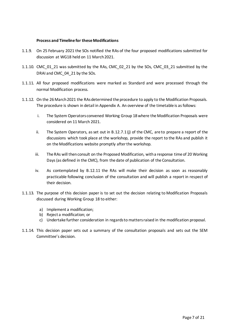#### **Process and Timeline for these Modifications**

- 1.1.9. On 25 February 2021 the SOs notified the RAs of the four proposed modifications submitted for discussion at WG18 held on 11 March 2021.
- 1.1.10. CMC\_01\_21 was submitted by the RAs, CMC\_02\_21 by the SOs, CMC\_03\_21 submitted by the DRAI and CMC 04 21 by the SOs.
- 1.1.11. All four proposed modifications were marked as Standard and were processed through the normal Modification process.
- 1.1.12. On the 26 March 2021 the RAs determined the procedure to apply to the Modification Proposals. The procedure is shown in detail in Appendix A. An overview of the timetable is as follows:
	- i. The System Operators convened Working Group 18 where the Modification Proposals were considered on 11 March 2021.
	- ii. The System Operators, as set out in B.12.7.1 (j) of the CMC, are to prepare a report of the discussions which took place at the workshop, provide the report to the RAs and publish it on the Modifications website promptly after the workshop.
	- iii. The RAs will then consult on the Proposed Modification, with a response time of 20 Working Days (as defined in the CMC), from the date of publication of the Consultation.
	- iv. As contemplated by B.12.11 the RAs will make their decision as soon as reasonably practicable following conclusion of the consultation and will publish a report in respect of their decision.
- 1.1.13. The purpose of this decision paper is to set out the decision relating to Modification Proposals discussed during Working Group 18 to either:
	- a) Implement a modification;
	- b) Reject a modification; or
	- c) Undertake further consideration in regards to matters raised in the modification proposal.
- 1.1.14. This decision paper sets out a summary of the consultation proposals and sets out the SEM Committee's decision.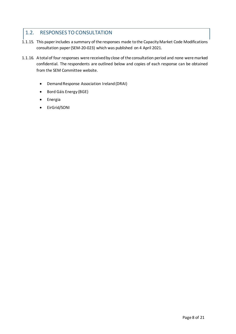# <span id="page-7-0"></span>1.2. RESPONSES TO CONSULTATION

- 1.1.15. This paper includes a summary of the responses made to the Capacity Market Code Modifications consultation paper (SEM-20-023) which was published on 4 April 2021.
- 1.1.16. A total of four responses were received by close of the consultation period and none were marked confidential. The respondents are outlined below and copies of each response can be obtained from the SEM Committee website.
	- Demand Response Association Ireland (DRAI)
	- Bord Gáis Energy (BGE)
	- **•** Energia
	- EirGrid/SONI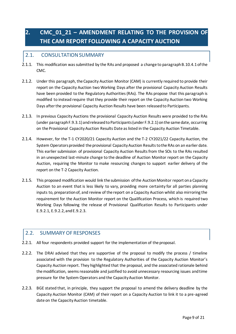# <span id="page-8-0"></span>**2. CMC\_01\_21 – AMENDMENT RELATING TO THE PROVISION OF THE CAM REPORT FOLLOWING A CAPACITY AUCTION**

# <span id="page-8-1"></span>2.1. CONSULTATION SUMMARY

- 2.1.1. This modification was submitted by the RAs and proposed a change to paragraph B.10.4.1 of the CMC.
- 2.1.2. Under this paragraph, the Capacity Auction Monitor (CAM) is currently required to provide their report on the Capacity Auction two Working Days after the provisional Capacity Auction Results have been provided to the Regulatory Authorities (RAs). The RAs propose that this paragraph is modified to instead require that they provide their report on the Capacity Auction two Working Days after the provisional Capacity Auction Results have been released to Participants.
- 2.1.3. In previous Capacity Auctions the provisional Capacity Auction Results were provided to the RAs (under paragraph F.9.3.1) and released to Participants (under F.9.2.1) on the same date, occurring on the Provisional Capacity Auction Results Date as listed in the Capacity Auction Timetable.
- 2.1.4. However, for the T-1 CY2020/21 Capacity Auction and the T-2 CY2021/22 Capacity Auction, the System Operators provided the provisional Capacity Auction Results to the RAs on an earlier date. This earlier submission of provisional Capacity Auction Results from the SOs to the RAs resulted in an unexpected last-minute change to the deadline of Auction Monitor report on the Capacity Auction, requiring the Monitor to make resourcing changes to support earlier delivery of the report on the T-2 Capacity Auction.
- 2.1.5. This proposed modification would link the submission of the Auction Monitor report on a Capacity Auction to an event that is less likely to vary, providing more certainty for all parties planning inputs to, preparation of, and review of the report on a Capacity Auction whilst also mirroring the requirement for the Auction Monitor report on the Qualification Process, which is required two Working Days following the release of Provisional Qualification Results to Participants under E.9.2.1, E.9.2.2, and E.9.2.3.

# <span id="page-8-2"></span>2.2. SUMMARY OF RESPONSES

- 2.2.1. All four respondents provided support for the implementation of the proposal.
- 2.2.2. The DRAI advised that they are supportive of the proposal to modify the process / timeline associated with the provision to the Regulatory Authorities of the Capacity Auction Monitor's Capacity Auction report. They highlighted that the proposal, and the associated rationale behind the modification, seems reasonable and justified to avoid unnecessary resourcing issues and time pressure for the System Operators and the Capacity Auction Monitor.
- 2.2.3. BGE stated that, in principle, they support the proposal to amend the delivery deadline by the Capacity Auction Monitor (CAM) of their report on a Capacity Auction to link it to a pre-agreed date on the Capacity Auction timetable.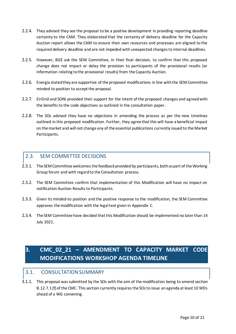- 2.2.4. They advised they see the proposal to be a positive development in providing reporting deadline certainty to the CAM. They elaborated that the certainty of delivery deadline for the Capacity Auction report allows the CAM to ensure their own resources and processes are aligned to the required delivery deadline and are not impeded with unexpected changes to internal deadlines.
- 2.2.5. However, BGE ask the SEM Committee, in their final decision, to confirm that this proposed change does not impact or delay the provision to participants of the provisional results (or information relating to the provisional results) from the Capacity Auction.
- 2.2.6. Energia stated they are supportive of the proposed modifications in line with the SEM Committee minded to position to accept the proposal.
- 2.2.7. EirGrid and SONI provided their support for the intent of the proposed changes and agreed with the benefits to the code objectives as outlined in the consultation paper.
- 2.2.8. The SOs advised they have no objections in amending the process as per the new timelines outlined in this proposed modification. Further, they agree that this will have a beneficial impact on the market and will not change any of the essential publications currently issued to the Market Participants.

## <span id="page-9-0"></span>2.3. SEM COMMITTEE DECISIONS

- 2.3.1. The SEM Committee welcomes the feedback provided by participants, both as part of the Working Group forum and with regard to the Consultation process.
- 2.3.2. The SEM Committee confirm that implementation of this Modification will have no impact on notification Auction Results to Participants.
- 2.3.3. Given its minded-to position and the positive response to the modification, the SEM Committee approves the modification with the legal text given in Appendix C.
- 2.3.4. The SEM Committee have decided that this Modification should be implemented no later than 14 July 2021.

# <span id="page-9-1"></span>**3. CMC\_02\_21 – AMENDMENT TO CAPACITY MARKET CODE MODIFICATIONS WORKSHOP AGENDA TIMELINE**

### <span id="page-9-2"></span>3.1. CONSULTATION SUMMARY

3.1.1. This proposal was submitted by the SOs with the aim of themodification being to amend section B.12.7.1 (f) of the CMC. This section currently requires the SOs to issue an agenda at least 10 WDs ahead of a WG convening.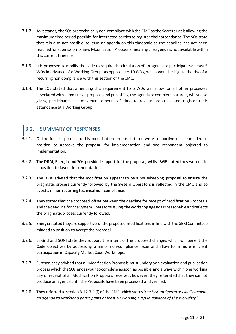- 3.1.2. As it stands, the SOs are technically non-compliant with the CMC as the Secretariat is allowing the maximum time period possible for interested parties to register their attendance. The SOs state that it is also not possible to issue an agenda on this timescale as the deadline has not been reached for submission of new Modification Proposals meaning the agenda is not available within this current timeline.
- 3.1.3. It is proposed to modify the code to require the circulation of an agenda to participants at least 5 WDs in advance of a Working Group, as opposed to 10 WDs, which would mitigate the risk of a recurring non-compliance with this section of the CMC.
- 3.1.4. The SOs stated that amending this requirement to 5 WDs will allow for all other processes associated with submitting a proposal and publishing the agenda to complete naturally whilst also giving participants the maximum amount of time to review proposals and register their attendance at a Working Group.

### <span id="page-10-0"></span>3.2. SUMMARY OF RESPONSES

- 3.2.1. Of the four responses to this modification proposal, three were supportive of the minded-to position to approve the proposal for implementation and one respondent objected to implementation.
- 3.2.2. The DRAI, Energia and SOs provided support for the proposal, whilst BGE stated they weren't in a position to favour implementation.
- 3.2.3. The DRAI advised that the modification appears to be a housekeeping proposal to ensure the pragmatic process currently followed by the System Operators is reflected in the CMC and to avoid a minor recurring technical non-compliance.
- 3.2.4. They statedthat the proposed offset between the deadline for receipt of Modification Proposals and the deadline for the System Operators issuing the workshop agenda is reasonable and reflects the pragmatic process currently followed.
- 3.2.5. Energia stated they are supportive of the proposed modifications in line with the SEM Committee minded to position to accept the proposal.
- 3.2.6. EirGrid and SONI state they support the intent of the proposed changes which will benefit the Code objectives by addressing a minor non-compliance issue and allow for a more efficient participation in Capacity Market Code Workshops.
- 3.2.7. Further, they advised that all Modification Proposals must undergo an evaluation and publication process which the SOs endeavour to complete as soon as possible and always within one working day of receipt of all Modification Proposals received; however, they reiterated that they cannot produce an agenda until the Proposals have been processed and verified.
- 3.2.8. They referred to section B.12.7.1 (f) of the CMC which states'*the System Operators shall circulate an agenda to Workshop participants at least 10 Working Days in advance of the Workshop'*.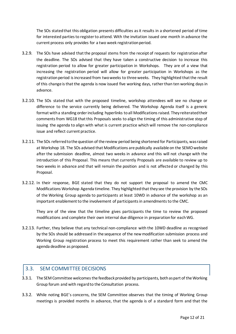The SOs stated that this obligation presents difficulties as it results in a shortened period of time for interested parties to register to attend. With the invitation issued one month in advance the current process only provides for a two week registration period.

- 3.2.9. The SOs have advised that the proposal stems from the receipt of requests for registration after the deadline. The SOs advised that they have taken a constructive decision to increase this registration period to allow for greater participation in Workshops. They are of a view that increasing the registration period will allow for greater participation in Workshops as the registration period is increased from two weeks to three weeks. They highlighted that the result of this change is that the agenda is now issued five working days, rather than ten working days in advance.
- 3.2.10. The SOs stated that with the proposed timeline, workshop attendees will see no change or difference to the service currently being delivered. The Workshop Agenda itself is a generic format with a standing order including hyperlinks to all Modifications raised. They reiterated their comments from WG18 that this Proposals seeks to align the timing of this administrative step of issuing the agenda to align with what is current practice which will remove the non-compliance issue and reflect current practice.
- 3.2.11. The SOs referred to the question of the review period being shortened for Participants, was raised at Workshop 18. The SOs advised that Modifications are publically available on the SEMO website after the submission deadline, almost two weeks in advance and this will not change with the introduction of this Proposal. This means that currently Proposals are available to review up to two weeks in advance and that will remain the position and is not affected or changed by this Proposal.
- 3.2.12. In their response, BGE stated that they do not support the proposal to amend the CMC Modifications Workshop Agenda timeline. They highlighted that they see the provision by the SOs of the Working Group agenda to participants at least 10WD in advance of the workshop as an important enablement to the involvement of participants in amendments to the CMC.

They are of the view that the timeline gives participants the time to review the proposed modifications and complete their own internal due diligence in preparation for eachWG.

3.2.13. Further, they believe that any technical non-compliance with the 10WD deadline as recognised by the SOs should be addressed in the sequence of the new modification submission process and Working Group registration process to meet this requirement rather than seek to amend the agenda deadline as proposed.

# <span id="page-11-0"></span>3.3. SEM COMMITTEE DECISIONS

- 3.3.1. The SEM Committee welcomes the feedback provided by participants, both as part of the Working Group forum and with regard to the Consultation process.
- 3.3.2. While noting BGE's concerns, the SEM Committee observes that the timing of Working Group meetings is provided months in advance, that the agenda is of a standard form and that the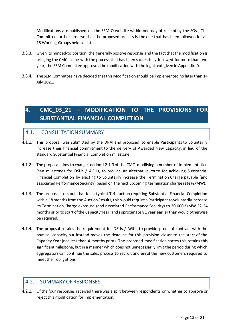Modifications are published on the SEM-O website within one day of receipt by the SOs. The Committee further observe that the proposed process is the one that has been followed for all 18 Working Groups held to date.

- 3.3.3. Given its minded-to position, the generally positive response and the fact that the modification is bringing the CMC in line with the process that has been successfully followed for more than two year, the SEM Committee approves the modification with the legal text given in Appendix D.
- 3.3.4. The SEM Committee have decided that this Modification should be implemented no later than 14 July 2021.

# <span id="page-12-0"></span>**4. CMC\_03\_21 – MODIFICATION TO THE PROVISIONS FOR SUBSTANTIAL FINANCIAL COMPLETION**

## <span id="page-12-1"></span>4.1. CONSULTATION SUMMARY

- 4.1.1. This proposal was submitted by the DRAI and proposed to enable Participants to voluntarily increase their financial commitment to the delivery of Awarded New Capacity, in lieu of the standard Substantial Financial Completion milestone.
- 4.1.2. The proposal aims to change section J.2.1.3 of the CMC, modifying a number of Implementation Plan milestones for DSUs / AGUs, to provide an alternative route for achieving Substantial Financial Completion by electing to voluntarily increase the Termination Charge payable (and associated Performance Security) based on the next upcoming termination charge rate ( $\epsilon$ /MW).
- 4.1.3. The proposal sets out that for a typical T-4 auction requiring Substantial Financial Completion within 18 months from the Auction Results, this would require a Participant to voluntarily increase its Termination Charge exposure (and associated Performance Security) to 30,000 €/MW 22-24 months prior to start of the Capacity Year, and approximately 1 year earlier than would otherwise be required.
- 4.1.4. The proposal retains the requirement for DSUs / AGUs to provide proof of contract with the physical capacity but instead moves the deadline for this provision closer to the start of the Capacity Year (not less than 4 months prior). The proposed modification states this retains this significant milestone, but in a manner which does not unnecessarily limit the period during which aggregators can continue the sales process to recruit and enrol the new customers required to meet their obligations.

## <span id="page-12-2"></span>4.2. SUMMARY OF RESPONSES

4.2.1. Of the four responses received there was a split between respondents on whether to approve or reject this modification for implementation.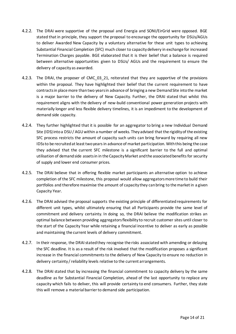- 4.2.2. The DRAI were supportive of the proposal and Energia and SONI/EirGrid were opposed. BGE stated that in principle, they support the proposal to encourage the opportunity for DSUs/AGUs to deliver Awarded New Capacity by a voluntary alternative for these unit types to achieving Substantial Financial Completion (SFC) much closer to capacity delivery in exchange for increased Termination Charges payable. BGE elaborated that it is their belief that a balance is required between alternative opportunities given to DSUs/ AGUs and the requirement to ensure the delivery of capacity as awarded.
- 4.2.3. The DRAI, the proposer of CMC 03 21, reiterated that they are supportive of the provisions within the proposal. They have highlighted their belief that the current requirement to have contracts in place more than two years in advance of bringing a new Demand Site into the market is a major barrier to the delivery of New Capacity. Further, the DRAI stated that whilst this requirement aligns with the delivery of new-build conventional power generation projects with materially longer and less flexible delivery timelines, it is an impediment to the development of demand side capacity.
- 4.2.4. They further highlighted that it is possible for an aggregator to bring a new Individual Demand Site (IDS) into a DSU / AGU within a number of weeks. They advised that the rigidity of the existing SFC process restricts the amount of capacity such units can bring forward by requiring all new IDSsto be recruited at least two years in advance of market participation. With this being the case they advised that the current SFC milestone is a significant barrier to the full and optimal utilisation of demand side assets in in the Capacity Market and the associated benefits for security of supply and lower end consumer prices.
- 4.2.5. The DRAI believe that in offering flexible market participants an alternative option to achieve completion of the SFC milestone, this proposal would allow aggregators more time to build their portfolios and therefore maximise the amount of capacity they can bring to the market in a given Capacity Year.
- 4.2.6. The DRAI advised the proposal supports the existing principle of differentiated requirements for different unit types, whilst ultimately ensuring that all Participants provide the same level of commitment and delivery certainty. In doing so, the DRAI believe the modification strikes an optimal balance between providing aggregators flexibility to recruit customer sites until closer to the start of the Capacity Year while retaining a financial incentive to deliver as early as possible and maintaining the current levels of delivery commitment.
- 4.2.7. In their response, the DRAI stated they recognise the risks associated with amending or delaying the SFC deadline. It is as a result of the risk involved that the modification proposes a significant increase in the financial commitments to the delivery of New Capacity to ensure no reduction in delivery certainty/reliability levels relative to the current arrangements.
- 4.2.8. The DRAI stated that by increasing the financial commitment to capacity delivery by the same deadline as for Substantial Financial Completion, ahead of the last opportunity to replace any capacity which fails to deliver, this will provide certainty to end consumers. Further, they state this will remove a material barrier to demand side participation.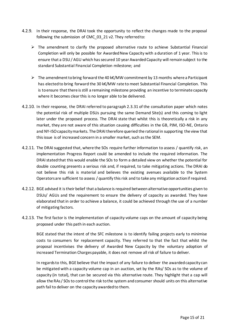- 4.2.9. In their response, the DRAI took the opportunity to reflect the changes made to the proposal following the submission of CMC 03 21 v2. They referred to:
	- $\triangleright$  The amendment to clarify the proposed alternative route to achieve Substantial Financial Completion will only be possible for Awarded New Capacity with a duration of 1 year. This is to ensure that a DSU / AGU which has secured 10 year Awarded Capacity will remain subject to the standard Substantial Financial Completion milestone; and
	- The amendment to bring forward the 40 k€/MW commitment by 13 months where a Participant has elected to bring forward the 30 k€/MW rate to meet Substantial Financial Completion. This is to ensure that there is still a remaining milestone providing an incentive to terminate capacity where it becomes clear this is no longer able to be delivered.
- 4.2.10. In their response, the DRAI referred to paragraph 2.3.31 of the consultation paper which notes the potential risk of multiple DSUs pursuing the same Demand Site(s) and this coming to light later under the proposed process. The DRAI state that whilst this is theoretically a risk in any market, they are not aware of this situation causing difficulties in the GB, PJM, ISO-NE, Ontario and NY-ISO capacity markets. The DRAI therefore queried the rational in supporting the view that this issue is of increased concern in a smaller market, such as the SEM.
- 4.2.11. The DRAI suggested that, where the SOs require further information to assess / quantify risk, an implementation Progress Report could be amended to include the required information. The DRAI stated that this would enable the SOs to form a detailed view on whether the potential for double counting presents a serious risk and, if required, to take mitigating actions. The DRAI do not believe this risk is material and believes the existing avenues available to the System Operators are sufficient to assess / quantify this risk and to take any mitigation action if required.
- 4.2.12. BGE advised it is their belief that a balance is required between alternative opportunities given to DSUs/ AGUs and the requirement to ensure the delivery of capacity as awarded. They have elaborated that in order to achieve a balance, it could be achieved through the use of a number of mitigating factors.
- 4.2.13. The first factor is the implementation of capacity volume caps on the amount of capacity being proposed under this path in each auction.

BGE stated that the intent of the SFC milestone is to identify failing projects early to minimise costs to consumers for replacement capacity. They referred to that the fact that whilst the proposal incentivises the delivery of Awarded New Capacity by the voluntary adoption of increased Termination Charges payable, it does not remove all risk of failure to deliver.

In regards to this, BGE believe that the impact of any failure to deliver the awarded capacity can be mitigated with a capacity volume cap in an auction, set by the RAs/ SOs as to the volume of capacity (in total), that can be secured via this alternative route. They highlight that a cap will allow the RAs / SOs to control the risk to the system and consumer should units on this alternative path fail to deliver on the capacity awarded to them.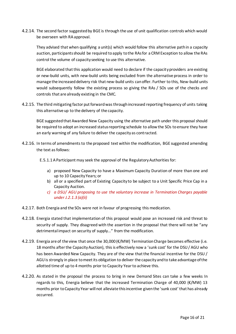4.2.14. The second factor suggested by BGE is through the use of unit qualification controls which would be overseen with RA approval.

They advised that when qualifying a unit(s) which would follow this alternative path in a capacity auction, participants should be required to apply to the RAs for a CRM Exception to allow the RAs control the volume of capacity seeking to use this alternative.

BGE elaborated that this application would need to declare if the capacity providers are existing or new-build units, with new-build units being excluded from the alternative process in order to manage the increased delivery risk that new-build units can offer. Further to this, New-build units would subsequently follow the existing process so giving the RAs / SOs use of the checks and controls that are already existing in the CMC.

4.2.15. The third mitigating factor put forward was through increased reporting frequency of units taking this alternative up to the delivery of the capacity.

BGE suggested that Awarded New Capacity using the alternative path under this proposal should be required to adopt an increased status reporting schedule to allow the SOs to ensure they have an early warning of any failure to deliver the capacity as contracted.

- 4.2.16. In terms of amendments to the proposed text within the modification, BGE suggested amending the text as follows:
	- E.5.1.1 A Participant may seek the approval of the Regulatory Authorities for:
		- a) proposed New Capacity to have a Maximum Capacity Duration of more than one and up to 10 Capacity Years; or
		- b) all or a specified part of Existing Capacity to be subject to a Unit Specific Price Cap in a Capacity Auction.
		- *c) a DSU/ AGU proposing to use the voluntary increase in Termination Charges payable under J.2.1.3 (a)(ii)*
- 4.2.17. Both Energia and the SOs were not in favour of progressing this medication.
- 4.2.18. Energia stated that implementation of this proposal would pose an increased risk and threat to security of supply. They disagreed with the assertion in the proposal that there will not be "any detrimental impact on security of supply…" from the modification.
- 4.2.19. Energia are of the view that once the 30,000 (€/MW) Termination Charge becomes effective (i.e. 18 months after the Capacity Auction), this is effectively now a 'sunk cost' for the DSU / AGU who has been Awarded New Capacity. They are of the view that the financial incentive for the DSU / AGU is strongly in place to meet its obligation to deliver the capacity and to take advantage of the allotted time of up to 4 months prior to Capacity Year to achieve this.
- 4.2.20. As stated in the proposal the process to bring in new Demand Sites can take a few weeks In regards to this, Energia believe that the increased Termination Charge of 40,000 (€/MW) 13 months prior to Capacity Year will not alleviate this incentive given the 'sunk cost' that has already occurred.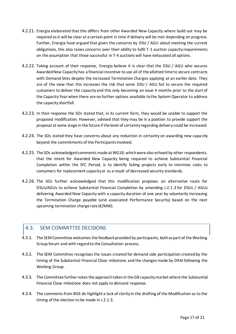- 4.2.21. Energia elaborated that this differs from other Awarded New Capacity where build out may be required as it will be clear at a certain point in time if delivery will be met depending on progress. Further, Energia have argued that given the concerns by DSU / AGU about meeting the current obligations, this also raises concerns over their ability to fulfil T-1 auction capacity requirements on the assumption that those successful in T-4 auctions will have exhausted all options.
- 4.2.22. Taking account of their response, Energia believe it is clear that the DSU / AGU who secures Awarded New Capacity has a financial incentive to use all of the allotted time to secure contracts with Demand Sites despite the increased Termination Charges applying at an earlier date. They are of the view that this increases the risk that some DSU / AGU fail to secure the required customers to deliver the capacity and this only becoming an issue 4 months prior to the start of the Capacity Year when there are no further options available to the System Operator to address the capacity shortfall.
- 4.2.23. In their response the SOs stated that, in its current form, they would be unable to support the proposed modification. However, advised that they may be in a position to provide support the proposal at some stage in the future if the level of certainty regarding delivery could be increased.
- 4.2.24. The SOs stated they have concerns about any reduction in certainty on awarding new capacity beyond the commitments of the Participants involved.
- 4.2.25. The SOs acknowledged comments made at WG18, which were also echoed by other respondents, that the intent for Awarded New Capacity being required to achieve Substantial Financial Completion within the SFC Period, is to identify failing projects early to minimise costs to consumers for replacement capacity or as a result of decreased security standards.
- 4.2.26. The SOs further acknowledged that this modification proposes an alternative route for DSUs/AGUs to achieve Substantial Financial Completion by amending J.2.1.3 for DSUs / AGUs delivering Awarded New Capacity with a capacity duration of one year by voluntarily increasing the Termination Charge payable (and associated Performance Security) based on the next upcoming termination charge rate (€/MW).

# <span id="page-16-0"></span>4.3. SEM COMMITTEE DECISIONS

- 4.3.1. The SEM Committee welcomes the feedback provided by participants, both as part of the Working Group forum and with regard to the Consultation process.
- 4.3.2. The SEM Committee recognises the issues created for demand side participation created by the timing of the Substantial Financial Close milestone and the changes made by DRAI following the Working Group.
- 4.3.3. The Committee further notes the approach taken in the GB capacity market where the Substantial Financial Close milestone does not apply to demand response.
- 4.3.4. The comments from BGE do highlight a lack of clarity in the drafting of the Modification as to the timing of the election to be made in J.2.1.3.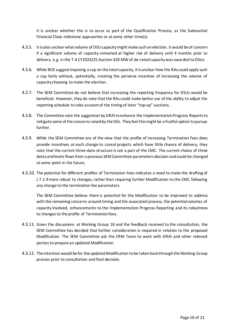It is unclear whether this is to occur as part of the Qualification Process, as the Substantial Financial Close milestone approaches or at some other time(s).

- 4.3.5. It is also unclear what volume of DSU capacity might make such an election. It would be of concern if a significant volume of capacity remained at higher risk of delivery until 4 months prior to delivery, e.g. in the T-4 CY2024/25 Auction 420 MW of de-rated capacity was awarded to DSUs.
- 4.3.6. While BGE suggest imposing a cap on the total capacity, it is unclear how the RAs could apply such a cap fairly without, potentially, creating the perverse incentive of increasing the volume of capacity choosing to make the election.
- 4.3.7. The SEM Committee do not believe that increasing the reporting frequency for DSUs would be beneficial. However, they do note that the RAs could make better use of the ability to adjust the reporting schedule to take account of the timing of later "top-up" auctions.
- 4.3.8. The Committee note the suggestion by DRAI to enhance the Implementation Progress Reports to mitigate some of the concerns raised by the SOs. They feel this might be a fruitful option to pursue further.
- 4.3.9. While the SEM Committee are of the view that the profile of increasing Termination Fees does provide incentives at each change to cancel projects which have little chance of delivery, they note that the current three-date structure is not a part of the CMC. The current choice of three dates and levels flows from a previous SEM Committee parameters decision and could be changed at some point in the future.
- 4.3.10. The potential for different profiles of Termination Fees indicates a need to make the drafting of J.7.1.9 more robust to changes, rather than requiring further Modification to the CMC following any change to the termination fee parameters.

The SEM Committee believe there is potential for the Modification to be improved to address with the remaining concerns around timing and the associated process, the potential volumes of capacity involved, enhancements to the Implementation Progress Reporting and its robustness to changes to the profile of Termination Fees.

- 4.3.11. Given the discussions at Working Group 18 and the feedback received to the consultation, the SEM Committee has decided that further consideration is required in relation to the proposed Modification. The SEM Committee ask the CRM Team to work with DRAI and other relevant parties to prepare an updated Modification.
- 4.3.12. The intention would be for the updated Modification to be taken back through the Working Group process prior to consultation and final decision.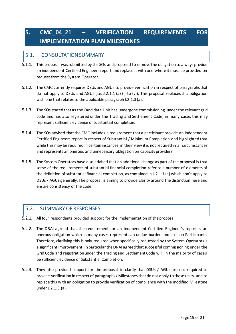# <span id="page-18-0"></span>**5. CMC\_04\_21 – VERIFICATION REQUIREMENTS FOR IMPLEMENTATION PLAN MILESTONES**

# <span id="page-18-1"></span>5.1. CONSULTATION SUMMARY

- 5.1.1. This proposal was submitted by the SOs and proposed to remove the obligation to always provide an independent Certified Engineers report and replace it with one where it must be provided on request from the System Operator.
- 5.1.2. The CMC currently requires DSUs and AGUs to provide verification in respect of paragraphs that do not apply to DSUs and AGUs (i.e. J.2.1.1 (a) (i) to (v)). This proposal replaces this obligation with one that relates to the applicable paragraph J.2.1.3 (a).
- 5.1.3. The SOs stated that as the Candidate Unit has undergone commissioning under the relevant grid code and has also registered under the Trading and Settlement Code, in many cases this may represent sufficient evidence of substantial completion.
- 5.1.4. The SOs advised that the CMC includes a requirement that a participant provide an independent Certified Engineers report in respect of Substantial / Minimum Completion and highlighted that while this may be required in certain instances, in their view it is not required in all circumstances and represents an onerous and unnecessary obligation on capacity providers.
- 5.1.5. The System Operators have also advised that an additional change as part of the proposal is that some of the requirements of substantial financial completion refer to a number of elements of the definition of substantial financial completion, as contained in J.2.1.1 (a) which don't apply to DSUs / AGUs generally. The proposal is aiming to provide clarity around the distinction here and ensure consistency of the code.

## <span id="page-18-2"></span>5.2. SUMMARY OF RESPONSES

- 5.2.1. All four respondents provided support for the implementation of the proposal.
- 5.2.2. The DRAI agreed that the requirement for an Independent Certified Engineer's report is an onerous obligation which in many cases represents an undue burden and cost on Participants. Therefore, clarifying this is only required when specifically requested by the System Operators is a significant improvement. In particular the DRAI agreed that successful commissioning under the Grid Code and registration under the Trading and Settlement Code will, in the majority of cases, be sufficient evidence of Substantial Completion.
- 5.2.3. They also provided support for the proposal to clarify that DSUs / AGUs are not required to provide verification in respect of paragraphs / Milestones that do not apply to these units, and to replace this with an obligation to provide verification of compliance with the modified Milestone under J.2.1.3.(a).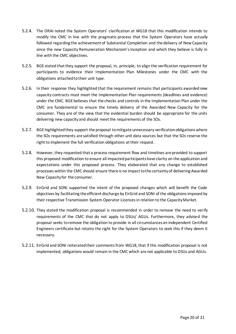- 5.2.4. The DRAI noted the System Operators' clarification at WG18 that this modification intends to modify the CMC in line with the pragmatic process that the System Operators have actually followed regarding the achievement of Substantial Completion and the delivery of New Capacity since the new Capacity Remuneration Mechanism's inception and which they believe is fully in line with the CMC objectives.
- 5.2.5. BGE stated that they support the proposal, in, principle, to align the verification requirement for participants to evidence their Implementation Plan Milestones under the CMC with the obligations attached to their unit type.
- 5.2.6. In their response they highlighted that the requirement remains that participants awarded new capacity contracts must meet the Implementation Plan requirements (deadlines and evidence) under the CMC. BGE believes that the checks and controls in the Implementation Plan under the CMC are fundamental to ensure the timely delivery of the Awarded New Capacity for the consumer. They are of the view that the evidential burden should be appropriate for the units delivering new capacity and should meet the requirements of the SOs.
- 5.2.7. BGE highlighted they support the proposal to mitigate unnecessary verification obligations where the SOs requirements are satisfied through other unit data sources but that the SOs reserve the right to implement the full verification obligations at their request.
- 5.2.8. However, they requested that a process requirement flow and timelines are provided to support this proposed modification to ensure all impacted participants have clarity on the application and expectations under this proposed process. They elaborated that any change to established processes within the CMC should ensure there is no impact to the certainty of delivering Awarded New Capacity for the consumer.
- 5.2.9. EirGrid and SONI supported the intent of the proposed changes which will benefit the Code objectives by facilitating the efficient discharge by EirGrid and SONI of the obligations imposed by their respective Transmission System Operator Licences in relation to the Capacity Market.
- 5.2.10. They stated the modification proposal is recommended in order to remove the need to verify requirements of the CMC that do not apply to DSUs/ AGUs. Furthermore, they advised the proposal seeks to remove the obligation to provide in all circumstances an independent Certified Engineers certificate but retains the right for the System Operators to seek this if they deem it necessary.
- 5.2.11. EirGrid and SONI reiterated their comments from WG18, that if this modification proposal is not implemented, obligations would remain in the CMC which are not applicable to DSUs and AGUs.